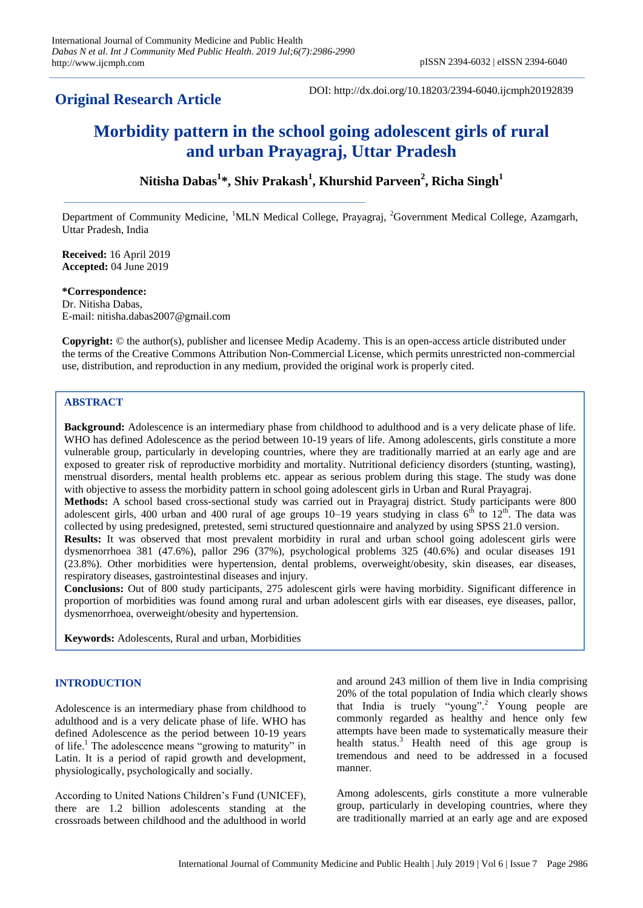# **Original Research Article**

DOI: http://dx.doi.org/10.18203/2394-6040.ijcmph20192839

# **Morbidity pattern in the school going adolescent girls of rural and urban Prayagraj, Uttar Pradesh**

**Nitisha Dabas<sup>1</sup> \*, Shiv Prakash<sup>1</sup> , Khurshid Parveen<sup>2</sup> , Richa Singh<sup>1</sup>**

Department of Community Medicine, <sup>1</sup>MLN Medical College, Prayagraj, <sup>2</sup>Government Medical College, Azamgarh, Uttar Pradesh, India

**Received:** 16 April 2019 **Accepted:** 04 June 2019

**\*Correspondence:** Dr. Nitisha Dabas, E-mail: nitisha.dabas2007@gmail.com

**Copyright:** © the author(s), publisher and licensee Medip Academy. This is an open-access article distributed under the terms of the Creative Commons Attribution Non-Commercial License, which permits unrestricted non-commercial use, distribution, and reproduction in any medium, provided the original work is properly cited.

# **ABSTRACT**

**Background:** Adolescence is an intermediary phase from childhood to adulthood and is a very delicate phase of life. WHO has defined Adolescence as the period between 10-19 years of life. Among adolescents, girls constitute a more vulnerable group, particularly in developing countries, where they are traditionally married at an early age and are exposed to greater risk of reproductive morbidity and mortality. Nutritional deficiency disorders (stunting, wasting), menstrual disorders, mental health problems etc. appear as serious problem during this stage. The study was done with objective to assess the morbidity pattern in school going adolescent girls in Urban and Rural Prayagraj. **Methods:** A school based cross-sectional study was carried out in Prayagraj district. Study participants were 800 adolescent girls, 400 urban and 400 rural of age groups 10–19 years studying in class  $6<sup>th</sup>$  to  $12<sup>th</sup>$ . The data was collected by using predesigned, pretested, semi structured questionnaire and analyzed by using SPSS 21.0 version. **Results:** It was observed that most prevalent morbidity in rural and urban school going adolescent girls were dysmenorrhoea 381 (47.6%), pallor 296 (37%), psychological problems 325 (40.6%) and ocular diseases 191 (23.8%). Other morbidities were hypertension, dental problems, overweight/obesity, skin diseases, ear diseases, respiratory diseases, gastrointestinal diseases and injury.

**Conclusions:** Out of 800 study participants, 275 adolescent girls were having morbidity. Significant difference in proportion of morbidities was found among rural and urban adolescent girls with ear diseases, eye diseases, pallor, dysmenorrhoea, overweight/obesity and hypertension.

**Keywords:** Adolescents, Rural and urban, Morbidities

# **INTRODUCTION**

Adolescence is an intermediary phase from childhood to adulthood and is a very delicate phase of life. WHO has defined Adolescence as the period between 10-19 years of life.<sup>1</sup> The adolescence means "growing to maturity" in Latin. It is a period of rapid growth and development, physiologically, psychologically and socially.

According to United Nations Children's Fund (UNICEF), there are 1.2 billion adolescents standing at the crossroads between childhood and the adulthood in world and around 243 million of them live in India comprising 20% of the total population of India which clearly shows that India is truely "young".<sup>2</sup> Young people are commonly regarded as healthy and hence only few attempts have been made to systematically measure their health status.<sup>3</sup> Health need of this age group is tremendous and need to be addressed in a focused manner.

Among adolescents, girls constitute a more vulnerable group, particularly in developing countries, where they are traditionally married at an early age and are exposed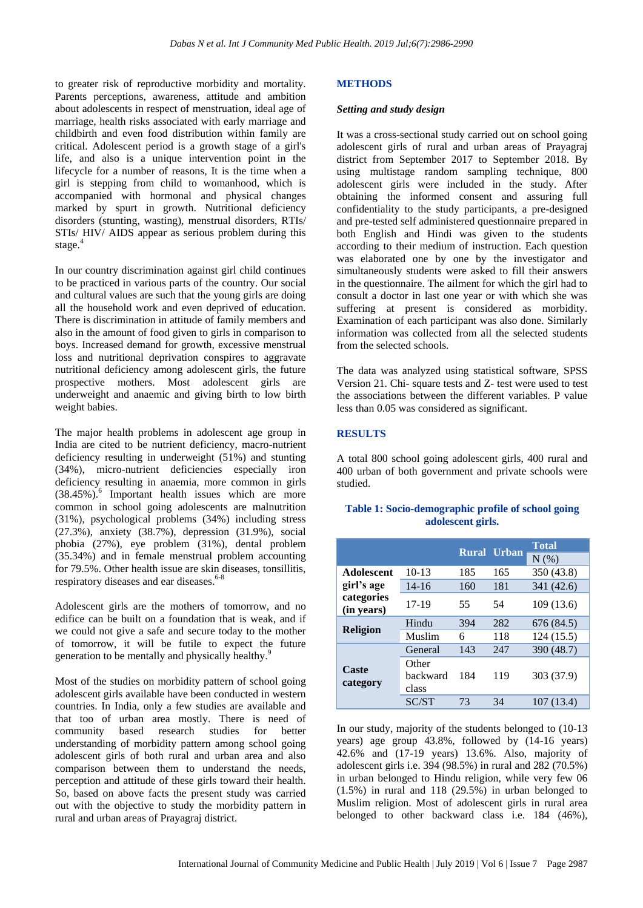to greater risk of reproductive morbidity and mortality. Parents perceptions, awareness, attitude and ambition about adolescents in respect of menstruation, ideal age of marriage, health risks associated with early marriage and childbirth and even food distribution within family are critical. Adolescent period is a growth stage of a girl's life, and also is a unique intervention point in the lifecycle for a number of reasons, It is the time when a girl is stepping from child to womanhood, which is accompanied with hormonal and physical changes marked by spurt in growth. Nutritional deficiency disorders (stunting, wasting), menstrual disorders, RTIs/ STIs/ HIV/ AIDS appear as serious problem during this stage. $4$ 

In our country discrimination against girl child continues to be practiced in various parts of the country. Our social and cultural values are such that the young girls are doing all the household work and even deprived of education. There is discrimination in attitude of family members and also in the amount of food given to girls in comparison to boys. Increased demand for growth, excessive menstrual loss and nutritional deprivation conspires to aggravate nutritional deficiency among adolescent girls, the future prospective mothers. Most adolescent girls are underweight and anaemic and giving birth to low birth weight babies.

The major health problems in adolescent age group in India are cited to be nutrient deficiency, macro-nutrient deficiency resulting in underweight (51%) and stunting (34%), micro-nutrient deficiencies especially iron deficiency resulting in anaemia, more common in girls (38.45%).<sup>6</sup> Important health issues which are more common in school going adolescents are malnutrition (31%), psychological problems (34%) including stress (27.3%), anxiety (38.7%), depression (31.9%), social phobia (27%), eye problem (31%), dental problem (35.34%) and in female menstrual problem accounting for 79.5%. Other health issue are skin diseases, tonsillitis, respiratory diseases and ear diseases.<sup>6-8</sup>

Adolescent girls are the mothers of tomorrow, and no edifice can be built on a foundation that is weak, and if we could not give a safe and secure today to the mother of tomorrow, it will be futile to expect the future generation to be mentally and physically healthy.<sup>9</sup>

Most of the studies on morbidity pattern of school going adolescent girls available have been conducted in western countries. In India, only a few studies are available and that too of urban area mostly. There is need of community based research studies for better understanding of morbidity pattern among school going adolescent girls of both rural and urban area and also comparison between them to understand the needs, perception and attitude of these girls toward their health. So, based on above facts the present study was carried out with the objective to study the morbidity pattern in rural and urban areas of Prayagraj district.

#### **METHODS**

#### *Setting and study design*

It was a cross-sectional study carried out on school going adolescent girls of rural and urban areas of Prayagraj district from September 2017 to September 2018. By using multistage random sampling technique, 800 adolescent girls were included in the study. After obtaining the informed consent and assuring full confidentiality to the study participants, a pre-designed and pre-tested self administered questionnaire prepared in both English and Hindi was given to the students according to their medium of instruction. Each question was elaborated one by one by the investigator and simultaneously students were asked to fill their answers in the questionnaire. The ailment for which the girl had to consult a doctor in last one year or with which she was suffering at present is considered as morbidity. Examination of each participant was also done. Similarly information was collected from all the selected students from the selected schools.

The data was analyzed using statistical software, SPSS Version 21. Chi- square tests and Z- test were used to test the associations between the different variables. P value less than 0.05 was considered as significant.

#### **RESULTS**

A total 800 school going adolescent girls, 400 rural and 400 urban of both government and private schools were studied.

|                                                             |                            |     | <b>Rural Urban</b> | <b>Total</b> |  |  |
|-------------------------------------------------------------|----------------------------|-----|--------------------|--------------|--|--|
|                                                             |                            |     |                    | N(%)         |  |  |
| <b>Adolescent</b><br>girl's age<br>categories<br>(in years) | $10-13$                    | 185 | 165                | 350 (43.8)   |  |  |
|                                                             | $14 - 16$                  | 160 | 181                | 341 (42.6)   |  |  |
|                                                             | 17-19                      | 55  | 54                 | 109 (13.6)   |  |  |
| <b>Religion</b>                                             | Hindu                      | 394 | 282                | 676 (84.5)   |  |  |
|                                                             | Muslim                     | 6   | 118                | 124(15.5)    |  |  |
| Caste<br>category                                           | General                    | 143 | 247                | 390 (48.7)   |  |  |
|                                                             | Other<br>backward<br>class | 184 | 119                | 303 (37.9)   |  |  |
|                                                             | <b>SC/ST</b>               | 73  | 34                 | 107(13.4)    |  |  |

#### **Table 1: Socio-demographic profile of school going adolescent girls.**

In our study, majority of the students belonged to (10-13 years) age group 43.8%, followed by (14-16 years) 42.6% and (17-19 years) 13.6%. Also, majority of adolescent girls i.e. 394 (98.5%) in rural and 282 (70.5%) in urban belonged to Hindu religion, while very few 06 (1.5%) in rural and 118 (29.5%) in urban belonged to Muslim religion. Most of adolescent girls in rural area belonged to other backward class i.e. 184 (46%),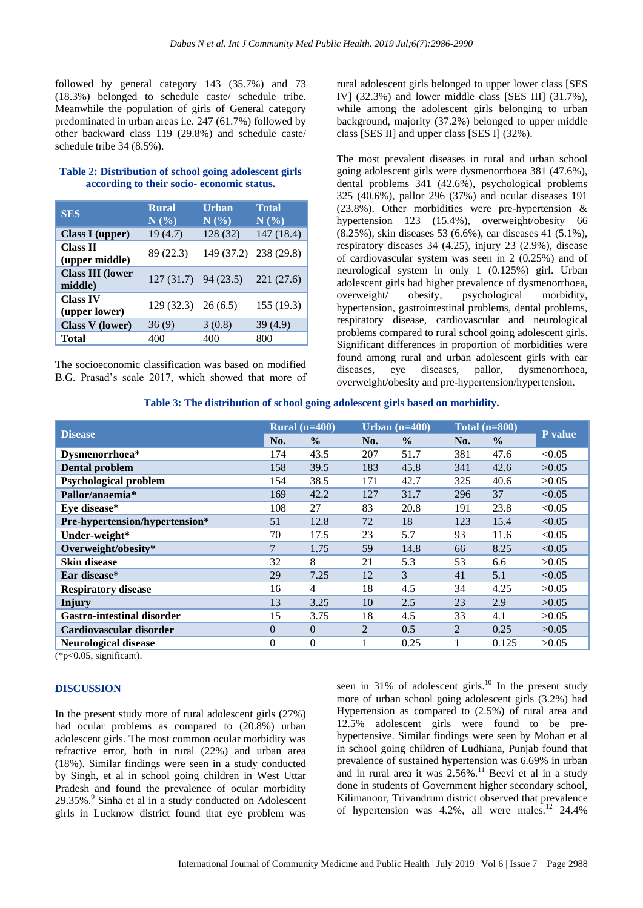followed by general category 143 (35.7%) and 73 (18.3%) belonged to schedule caste/ schedule tribe. Meanwhile the population of girls of General category predominated in urban areas i.e. 247 (61.7%) followed by other backward class 119 (29.8%) and schedule caste/ schedule tribe 34 (8.5%).

#### **Table 2: Distribution of school going adolescent girls according to their socio- economic status.**

| <b>SES</b>                         | <b>Rural</b><br>N(%)  | <b>Urban</b><br>N(%) | <b>Total</b><br>N(%)  |
|------------------------------------|-----------------------|----------------------|-----------------------|
| Class I (upper)                    | 19(4.7)               | 128(32)              | 147(18.4)             |
| <b>Class II</b><br>(upper middle)  | 89 (22.3)             |                      | 149 (37.2) 238 (29.8) |
| <b>Class III (lower</b><br>middle) | $127(31.7)$ 94 (23.5) |                      | 221(27.6)             |
| <b>Class IV</b><br>(upper lower)   | $129(32.3)$ 26 (6.5)  |                      | 155 (19.3)            |
| <b>Class V</b> (lower)             | 36(9)                 | 3(0.8)               | 39 (4.9)              |
| <b>Total</b>                       | 400                   | 400                  | 800                   |

The socioeconomic classification was based on modified B.G. Prasad's scale 2017, which showed that more of rural adolescent girls belonged to upper lower class [SES IV] (32.3%) and lower middle class [SES III] (31.7%), while among the adolescent girls belonging to urban background, majority (37.2%) belonged to upper middle class [SES II] and upper class [SES I] (32%).

The most prevalent diseases in rural and urban school going adolescent girls were dysmenorrhoea 381 (47.6%), dental problems 341 (42.6%), psychological problems 325 (40.6%), pallor 296 (37%) and ocular diseases 191 (23.8%). Other morbidities were pre-hypertension & hypertension 123 (15.4%), overweight/obesity 66 (8.25%), skin diseases 53 (6.6%), ear diseases 41 (5.1%), respiratory diseases 34 (4.25), injury 23 (2.9%), disease of cardiovascular system was seen in 2 (0.25%) and of neurological system in only 1 (0.125%) girl. Urban adolescent girls had higher prevalence of dysmenorrhoea, overweight/ obesity, psychological morbidity, hypertension, gastrointestinal problems, dental problems, respiratory disease, cardiovascular and neurological problems compared to rural school going adolescent girls. Significant differences in proportion of morbidities were found among rural and urban adolescent girls with ear diseases, eye diseases, pallor, dysmenorrhoea, overweight/obesity and pre-hypertension/hypertension.

**Table 3: The distribution of school going adolescent girls based on morbidity.**

|                                   | Rural $(n=400)$ |               | Urban $(n=400)$ |               | Total $(n=800)$ |               |         |
|-----------------------------------|-----------------|---------------|-----------------|---------------|-----------------|---------------|---------|
| <b>Disease</b>                    | No.             | $\frac{0}{0}$ | No.             | $\frac{0}{0}$ | No.             | $\frac{6}{9}$ | P value |
| Dysmenorrhoea*                    | 174             | 43.5          | 207             | 51.7          | 381             | 47.6          | < 0.05  |
| <b>Dental problem</b>             | 158             | 39.5          | 183             | 45.8          | 341             | 42.6          | >0.05   |
| <b>Psychological problem</b>      | 154             | 38.5          | 171             | 42.7          | 325             | 40.6          | >0.05   |
| Pallor/anaemia*                   | 169             | 42.2          | 127             | 31.7          | 296             | 37            | < 0.05  |
| Eye disease*                      | 108             | 27            | 83              | 20.8          | 191             | 23.8          | < 0.05  |
| Pre-hypertension/hypertension*    | 51              | 12.8          | 72              | 18            | 123             | 15.4          | < 0.05  |
| Under-weight*                     | 70              | 17.5          | 23              | 5.7           | 93              | 11.6          | < 0.05  |
| Overweight/obesity*               | $\overline{7}$  | 1.75          | 59              | 14.8          | 66              | 8.25          | < 0.05  |
| <b>Skin disease</b>               | 32              | 8             | 21              | 5.3           | 53              | 6.6           | >0.05   |
| Ear disease*                      | 29              | 7.25          | 12              | 3             | 41              | 5.1           | < 0.05  |
| <b>Respiratory disease</b>        | 16              | 4             | 18              | 4.5           | 34              | 4.25          | >0.05   |
| <b>Injury</b>                     | 13              | 3.25          | 10              | 2.5           | 23              | 2.9           | >0.05   |
| <b>Gastro-intestinal disorder</b> | 15              | 3.75          | 18              | 4.5           | 33              | 4.1           | >0.05   |
| Cardiovascular disorder           | $\Omega$        | $\Omega$      | $\overline{2}$  | 0.5           | $\overline{2}$  | 0.25          | >0.05   |
| <b>Neurological disease</b>       | $\theta$        | $\Omega$      |                 | 0.25          |                 | 0.125         | >0.05   |

 $(*p<0.05,$  significant).

#### **DISCUSSION**

In the present study more of rural adolescent girls (27%) had ocular problems as compared to (20.8%) urban adolescent girls. The most common ocular morbidity was refractive error, both in rural (22%) and urban area (18%). Similar findings were seen in a study conducted by Singh, et al in school going children in West Uttar Pradesh and found the prevalence of ocular morbidity 29.35%.<sup>9</sup> Sinha et al in a study conducted on Adolescent girls in Lucknow district found that eye problem was seen in 31% of adolescent girls.<sup>10</sup> In the present study more of urban school going adolescent girls (3.2%) had Hypertension as compared to (2.5%) of rural area and 12.5% adolescent girls were found to be prehypertensive. Similar findings were seen by Mohan et al in school going children of Ludhiana, Punjab found that prevalence of sustained hypertension was 6.69% in urban and in rural area it was  $2.56\%$ .<sup>11</sup> Beevi et al in a study done in students of Government higher secondary school, Kilimanoor, Trivandrum district observed that prevalence of hypertension was  $4.2\%$ , all were males.<sup>12</sup> 24.4%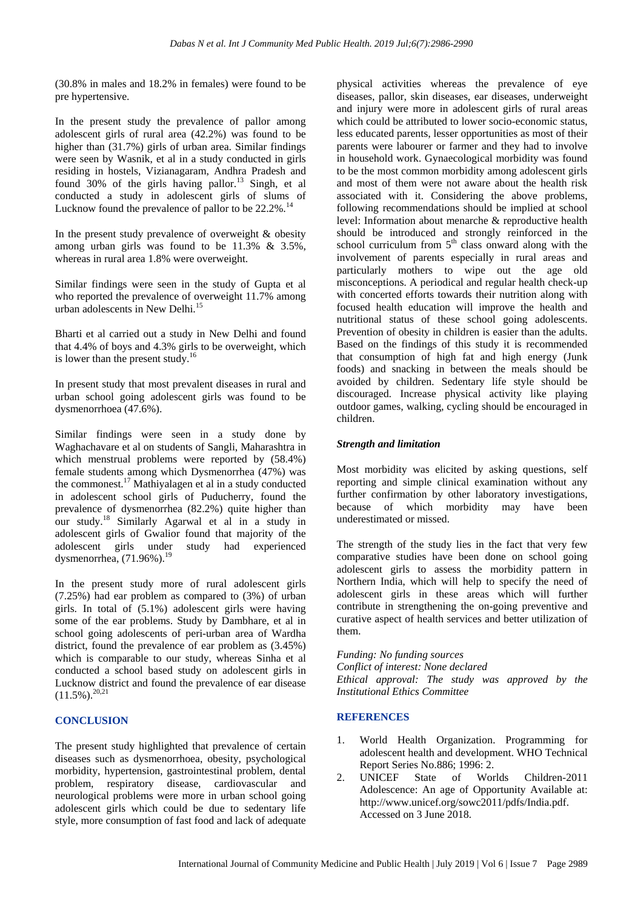(30.8% in males and 18.2% in females) were found to be pre hypertensive.

In the present study the prevalence of pallor among adolescent girls of rural area (42.2%) was found to be higher than (31.7%) girls of urban area. Similar findings were seen by Wasnik, et al in a study conducted in girls residing in hostels, Vizianagaram, Andhra Pradesh and found  $30\%$  of the girls having pallor.<sup>13</sup> Singh, et al conducted a study in adolescent girls of slums of Lucknow found the prevalence of pallor to be  $22.2\%$ .<sup>1</sup>

In the present study prevalence of overweight & obesity among urban girls was found to be 11.3% & 3.5%, whereas in rural area 1.8% were overweight.

Similar findings were seen in the study of Gupta et al who reported the prevalence of overweight 11.7% among urban adolescents in New Delhi.<sup>15</sup>

Bharti et al carried out a study in New Delhi and found that 4.4% of boys and 4.3% girls to be overweight, which is lower than the present study.<sup>16</sup>

In present study that most prevalent diseases in rural and urban school going adolescent girls was found to be dysmenorrhoea (47.6%).

Similar findings were seen in a study done by Waghachavare et al on students of Sangli, Maharashtra in which menstrual problems were reported by (58.4%) female students among which Dysmenorrhea (47%) was the commonest.<sup>17</sup> Mathiyalagen et al in a study conducted in adolescent school girls of Puducherry, found the prevalence of dysmenorrhea (82.2%) quite higher than our study.<sup>18</sup> Similarly Agarwal et al in a study in adolescent girls of Gwalior found that majority of the adolescent girls under study had experienced dysmenorrhea,  $(71.96\%)$ .<sup>19</sup>

In the present study more of rural adolescent girls (7.25%) had ear problem as compared to (3%) of urban girls. In total of (5.1%) adolescent girls were having some of the ear problems. Study by Dambhare, et al in school going adolescents of peri-urban area of Wardha district, found the prevalence of ear problem as (3.45%) which is comparable to our study, whereas Sinha et al conducted a school based study on adolescent girls in Lucknow district and found the prevalence of ear disease  $(11.5\%)$ <sup>20,21</sup>

# **CONCLUSION**

The present study highlighted that prevalence of certain diseases such as dysmenorrhoea, obesity, psychological morbidity, hypertension, gastrointestinal problem, dental problem, respiratory disease, cardiovascular and neurological problems were more in urban school going adolescent girls which could be due to sedentary life style, more consumption of fast food and lack of adequate physical activities whereas the prevalence of eye diseases, pallor, skin diseases, ear diseases, underweight and injury were more in adolescent girls of rural areas which could be attributed to lower socio-economic status, less educated parents, lesser opportunities as most of their parents were labourer or farmer and they had to involve in household work. Gynaecological morbidity was found to be the most common morbidity among adolescent girls and most of them were not aware about the health risk associated with it. Considering the above problems, following recommendations should be implied at school level: Information about menarche & reproductive health should be introduced and strongly reinforced in the school curriculum from  $5<sup>th</sup>$  class onward along with the involvement of parents especially in rural areas and particularly mothers to wipe out the age old misconceptions. A periodical and regular health check-up with concerted efforts towards their nutrition along with focused health education will improve the health and nutritional status of these school going adolescents. Prevention of obesity in children is easier than the adults. Based on the findings of this study it is recommended that consumption of high fat and high energy (Junk foods) and snacking in between the meals should be avoided by children. Sedentary life style should be discouraged. Increase physical activity like playing outdoor games, walking, cycling should be encouraged in children.

# *Strength and limitation*

Most morbidity was elicited by asking questions, self reporting and simple clinical examination without any further confirmation by other laboratory investigations, because of which morbidity may have been underestimated or missed.

The strength of the study lies in the fact that very few comparative studies have been done on school going adolescent girls to assess the morbidity pattern in Northern India, which will help to specify the need of adolescent girls in these areas which will further contribute in strengthening the on-going preventive and curative aspect of health services and better utilization of them.

*Funding: No funding sources Conflict of interest: None declared*

*Ethical approval: The study was approved by the Institutional Ethics Committee*

# **REFERENCES**

- 1. World Health Organization. Programming for adolescent health and development. WHO Technical Report Series No.886; 1996: 2.
- 2. UNICEF State of Worlds Children-2011 Adolescence: An age of Opportunity Available at: http://www.unicef.org/sowc2011/pdfs/India.pdf. Accessed on 3 June 2018.